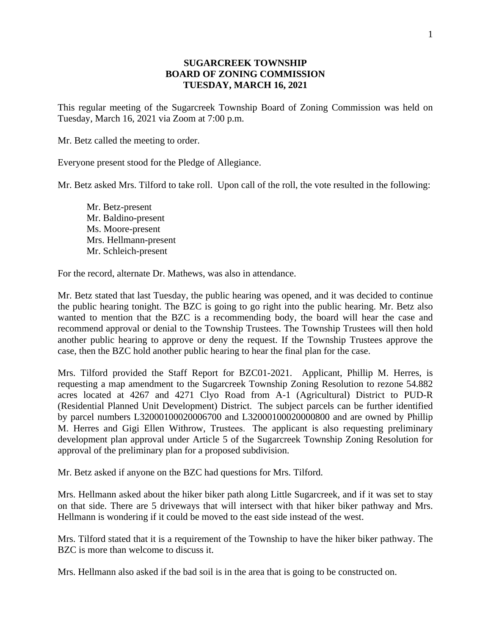## **SUGARCREEK TOWNSHIP BOARD OF ZONING COMMISSION TUESDAY, MARCH 16, 2021**

This regular meeting of the Sugarcreek Township Board of Zoning Commission was held on Tuesday, March 16, 2021 via Zoom at 7:00 p.m.

Mr. Betz called the meeting to order.

Everyone present stood for the Pledge of Allegiance.

Mr. Betz asked Mrs. Tilford to take roll. Upon call of the roll, the vote resulted in the following:

Mr. Betz-present Mr. Baldino-present Ms. Moore-present Mrs. Hellmann-present Mr. Schleich-present

For the record, alternate Dr. Mathews, was also in attendance.

Mr. Betz stated that last Tuesday, the public hearing was opened, and it was decided to continue the public hearing tonight. The BZC is going to go right into the public hearing. Mr. Betz also wanted to mention that the BZC is a recommending body, the board will hear the case and recommend approval or denial to the Township Trustees. The Township Trustees will then hold another public hearing to approve or deny the request. If the Township Trustees approve the case, then the BZC hold another public hearing to hear the final plan for the case.

Mrs. Tilford provided the Staff Report for BZC01-2021. Applicant, Phillip M. Herres, is requesting a map amendment to the Sugarcreek Township Zoning Resolution to rezone 54.882 acres located at 4267 and 4271 Clyo Road from A-1 (Agricultural) District to PUD-R (Residential Planned Unit Development) District. The subject parcels can be further identified by parcel numbers [L32000100020006700](http://apps.co.greene.oh.us/auditor/ureca/data.aspx?parcelid=L32000100050014200&taxyear=2017&taxformyear=2017&search=ParcelID&searchp=L32000100050014200) and [L32000100020000800](http://apps.co.greene.oh.us/auditor/ureca/data.aspx?parcelid=L32000100050014200&taxyear=2017&taxformyear=2017&search=ParcelID&searchp=L32000100050014200) and are owned by Phillip M. Herres and Gigi Ellen Withrow, Trustees. The applicant is also requesting preliminary development plan approval under Article 5 of the Sugarcreek Township Zoning Resolution for approval of the preliminary plan for a proposed subdivision.

Mr. Betz asked if anyone on the BZC had questions for Mrs. Tilford.

Mrs. Hellmann asked about the hiker biker path along Little Sugarcreek, and if it was set to stay on that side. There are 5 driveways that will intersect with that hiker biker pathway and Mrs. Hellmann is wondering if it could be moved to the east side instead of the west.

Mrs. Tilford stated that it is a requirement of the Township to have the hiker biker pathway. The BZC is more than welcome to discuss it.

Mrs. Hellmann also asked if the bad soil is in the area that is going to be constructed on.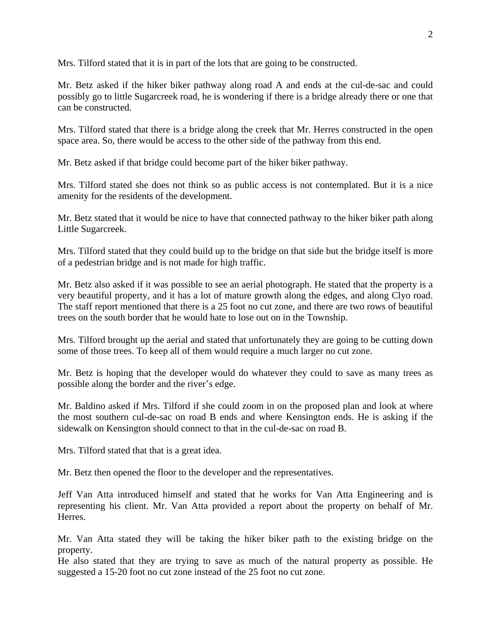Mrs. Tilford stated that it is in part of the lots that are going to be constructed.

Mr. Betz asked if the hiker biker pathway along road A and ends at the cul-de-sac and could possibly go to little Sugarcreek road, he is wondering if there is a bridge already there or one that can be constructed.

Mrs. Tilford stated that there is a bridge along the creek that Mr. Herres constructed in the open space area. So, there would be access to the other side of the pathway from this end.

Mr. Betz asked if that bridge could become part of the hiker biker pathway.

Mrs. Tilford stated she does not think so as public access is not contemplated. But it is a nice amenity for the residents of the development.

Mr. Betz stated that it would be nice to have that connected pathway to the hiker biker path along Little Sugarcreek.

Mrs. Tilford stated that they could build up to the bridge on that side but the bridge itself is more of a pedestrian bridge and is not made for high traffic.

Mr. Betz also asked if it was possible to see an aerial photograph. He stated that the property is a very beautiful property, and it has a lot of mature growth along the edges, and along Clyo road. The staff report mentioned that there is a 25 foot no cut zone, and there are two rows of beautiful trees on the south border that he would hate to lose out on in the Township.

Mrs. Tilford brought up the aerial and stated that unfortunately they are going to be cutting down some of those trees. To keep all of them would require a much larger no cut zone.

Mr. Betz is hoping that the developer would do whatever they could to save as many trees as possible along the border and the river's edge.

Mr. Baldino asked if Mrs. Tilford if she could zoom in on the proposed plan and look at where the most southern cul-de-sac on road B ends and where Kensington ends. He is asking if the sidewalk on Kensington should connect to that in the cul-de-sac on road B.

Mrs. Tilford stated that that is a great idea.

Mr. Betz then opened the floor to the developer and the representatives.

Jeff Van Atta introduced himself and stated that he works for Van Atta Engineering and is representing his client. Mr. Van Atta provided a report about the property on behalf of Mr. Herres.

Mr. Van Atta stated they will be taking the hiker biker path to the existing bridge on the property.

He also stated that they are trying to save as much of the natural property as possible. He suggested a 15-20 foot no cut zone instead of the 25 foot no cut zone.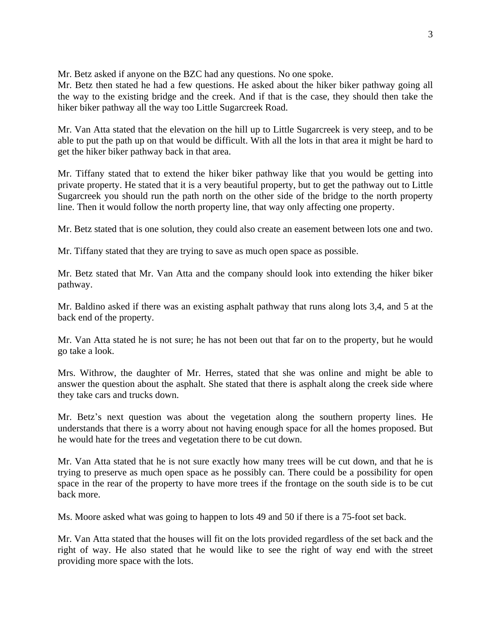Mr. Betz asked if anyone on the BZC had any questions. No one spoke.

Mr. Betz then stated he had a few questions. He asked about the hiker biker pathway going all the way to the existing bridge and the creek. And if that is the case, they should then take the hiker biker pathway all the way too Little Sugarcreek Road.

Mr. Van Atta stated that the elevation on the hill up to Little Sugarcreek is very steep, and to be able to put the path up on that would be difficult. With all the lots in that area it might be hard to get the hiker biker pathway back in that area.

Mr. Tiffany stated that to extend the hiker biker pathway like that you would be getting into private property. He stated that it is a very beautiful property, but to get the pathway out to Little Sugarcreek you should run the path north on the other side of the bridge to the north property line. Then it would follow the north property line, that way only affecting one property.

Mr. Betz stated that is one solution, they could also create an easement between lots one and two.

Mr. Tiffany stated that they are trying to save as much open space as possible.

Mr. Betz stated that Mr. Van Atta and the company should look into extending the hiker biker pathway.

Mr. Baldino asked if there was an existing asphalt pathway that runs along lots 3,4, and 5 at the back end of the property.

Mr. Van Atta stated he is not sure; he has not been out that far on to the property, but he would go take a look.

Mrs. Withrow, the daughter of Mr. Herres, stated that she was online and might be able to answer the question about the asphalt. She stated that there is asphalt along the creek side where they take cars and trucks down.

Mr. Betz's next question was about the vegetation along the southern property lines. He understands that there is a worry about not having enough space for all the homes proposed. But he would hate for the trees and vegetation there to be cut down.

Mr. Van Atta stated that he is not sure exactly how many trees will be cut down, and that he is trying to preserve as much open space as he possibly can. There could be a possibility for open space in the rear of the property to have more trees if the frontage on the south side is to be cut back more.

Ms. Moore asked what was going to happen to lots 49 and 50 if there is a 75-foot set back.

Mr. Van Atta stated that the houses will fit on the lots provided regardless of the set back and the right of way. He also stated that he would like to see the right of way end with the street providing more space with the lots.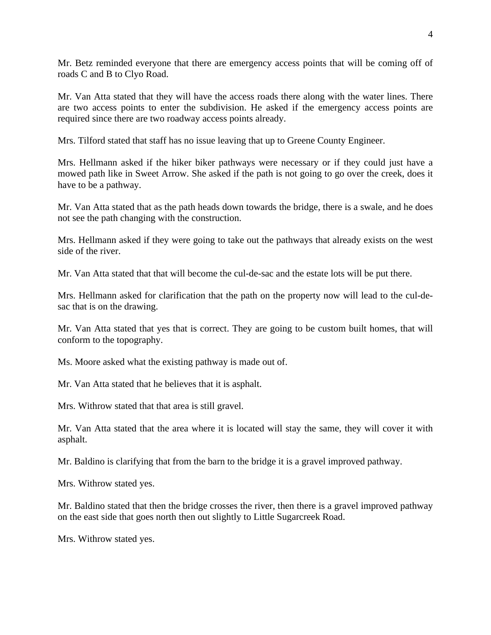Mr. Betz reminded everyone that there are emergency access points that will be coming off of roads C and B to Clyo Road.

Mr. Van Atta stated that they will have the access roads there along with the water lines. There are two access points to enter the subdivision. He asked if the emergency access points are required since there are two roadway access points already.

Mrs. Tilford stated that staff has no issue leaving that up to Greene County Engineer.

Mrs. Hellmann asked if the hiker biker pathways were necessary or if they could just have a mowed path like in Sweet Arrow. She asked if the path is not going to go over the creek, does it have to be a pathway.

Mr. Van Atta stated that as the path heads down towards the bridge, there is a swale, and he does not see the path changing with the construction.

Mrs. Hellmann asked if they were going to take out the pathways that already exists on the west side of the river.

Mr. Van Atta stated that that will become the cul-de-sac and the estate lots will be put there.

Mrs. Hellmann asked for clarification that the path on the property now will lead to the cul-desac that is on the drawing.

Mr. Van Atta stated that yes that is correct. They are going to be custom built homes, that will conform to the topography.

Ms. Moore asked what the existing pathway is made out of.

Mr. Van Atta stated that he believes that it is asphalt.

Mrs. Withrow stated that that area is still gravel.

Mr. Van Atta stated that the area where it is located will stay the same, they will cover it with asphalt.

Mr. Baldino is clarifying that from the barn to the bridge it is a gravel improved pathway.

Mrs. Withrow stated yes.

Mr. Baldino stated that then the bridge crosses the river, then there is a gravel improved pathway on the east side that goes north then out slightly to Little Sugarcreek Road.

Mrs. Withrow stated yes.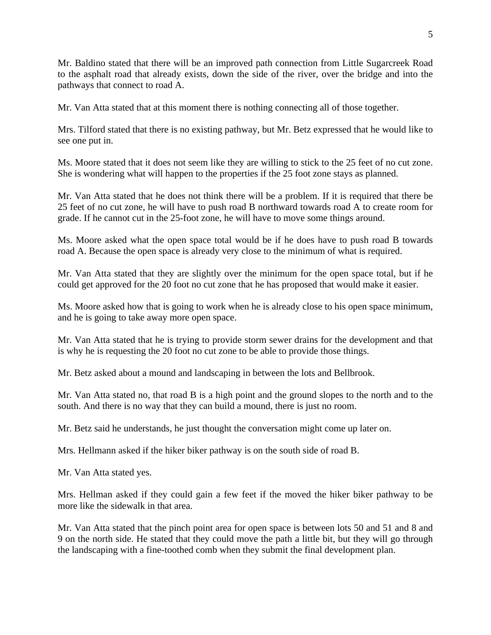Mr. Baldino stated that there will be an improved path connection from Little Sugarcreek Road to the asphalt road that already exists, down the side of the river, over the bridge and into the pathways that connect to road A.

Mr. Van Atta stated that at this moment there is nothing connecting all of those together.

Mrs. Tilford stated that there is no existing pathway, but Mr. Betz expressed that he would like to see one put in.

Ms. Moore stated that it does not seem like they are willing to stick to the 25 feet of no cut zone. She is wondering what will happen to the properties if the 25 foot zone stays as planned.

Mr. Van Atta stated that he does not think there will be a problem. If it is required that there be 25 feet of no cut zone, he will have to push road B northward towards road A to create room for grade. If he cannot cut in the 25-foot zone, he will have to move some things around.

Ms. Moore asked what the open space total would be if he does have to push road B towards road A. Because the open space is already very close to the minimum of what is required.

Mr. Van Atta stated that they are slightly over the minimum for the open space total, but if he could get approved for the 20 foot no cut zone that he has proposed that would make it easier.

Ms. Moore asked how that is going to work when he is already close to his open space minimum, and he is going to take away more open space.

Mr. Van Atta stated that he is trying to provide storm sewer drains for the development and that is why he is requesting the 20 foot no cut zone to be able to provide those things.

Mr. Betz asked about a mound and landscaping in between the lots and Bellbrook.

Mr. Van Atta stated no, that road B is a high point and the ground slopes to the north and to the south. And there is no way that they can build a mound, there is just no room.

Mr. Betz said he understands, he just thought the conversation might come up later on.

Mrs. Hellmann asked if the hiker biker pathway is on the south side of road B.

Mr. Van Atta stated yes.

Mrs. Hellman asked if they could gain a few feet if the moved the hiker biker pathway to be more like the sidewalk in that area.

Mr. Van Atta stated that the pinch point area for open space is between lots 50 and 51 and 8 and 9 on the north side. He stated that they could move the path a little bit, but they will go through the landscaping with a fine-toothed comb when they submit the final development plan.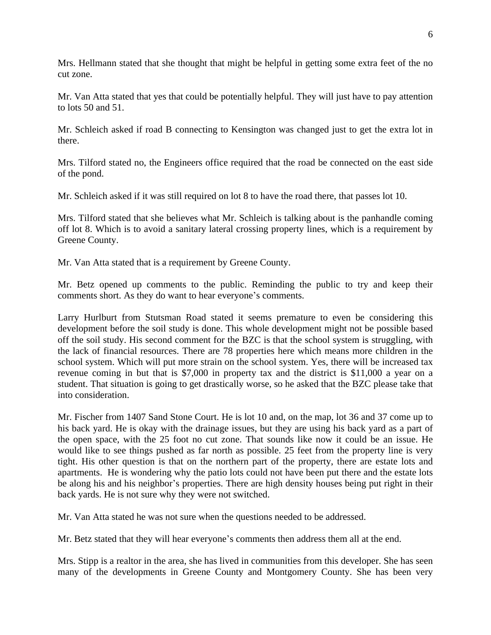Mrs. Hellmann stated that she thought that might be helpful in getting some extra feet of the no cut zone.

Mr. Van Atta stated that yes that could be potentially helpful. They will just have to pay attention to lots 50 and 51.

Mr. Schleich asked if road B connecting to Kensington was changed just to get the extra lot in there.

Mrs. Tilford stated no, the Engineers office required that the road be connected on the east side of the pond.

Mr. Schleich asked if it was still required on lot 8 to have the road there, that passes lot 10.

Mrs. Tilford stated that she believes what Mr. Schleich is talking about is the panhandle coming off lot 8. Which is to avoid a sanitary lateral crossing property lines, which is a requirement by Greene County.

Mr. Van Atta stated that is a requirement by Greene County.

Mr. Betz opened up comments to the public. Reminding the public to try and keep their comments short. As they do want to hear everyone's comments.

Larry Hurlburt from Stutsman Road stated it seems premature to even be considering this development before the soil study is done. This whole development might not be possible based off the soil study. His second comment for the BZC is that the school system is struggling, with the lack of financial resources. There are 78 properties here which means more children in the school system. Which will put more strain on the school system. Yes, there will be increased tax revenue coming in but that is \$7,000 in property tax and the district is \$11,000 a year on a student. That situation is going to get drastically worse, so he asked that the BZC please take that into consideration.

Mr. Fischer from 1407 Sand Stone Court. He is lot 10 and, on the map, lot 36 and 37 come up to his back yard. He is okay with the drainage issues, but they are using his back yard as a part of the open space, with the 25 foot no cut zone. That sounds like now it could be an issue. He would like to see things pushed as far north as possible. 25 feet from the property line is very tight. His other question is that on the northern part of the property, there are estate lots and apartments. He is wondering why the patio lots could not have been put there and the estate lots be along his and his neighbor's properties. There are high density houses being put right in their back yards. He is not sure why they were not switched.

Mr. Van Atta stated he was not sure when the questions needed to be addressed.

Mr. Betz stated that they will hear everyone's comments then address them all at the end.

Mrs. Stipp is a realtor in the area, she has lived in communities from this developer. She has seen many of the developments in Greene County and Montgomery County. She has been very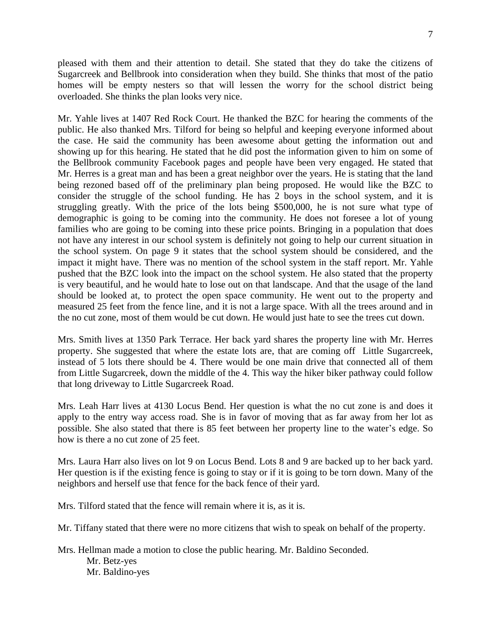pleased with them and their attention to detail. She stated that they do take the citizens of Sugarcreek and Bellbrook into consideration when they build. She thinks that most of the patio homes will be empty nesters so that will lessen the worry for the school district being overloaded. She thinks the plan looks very nice.

Mr. Yahle lives at 1407 Red Rock Court. He thanked the BZC for hearing the comments of the public. He also thanked Mrs. Tilford for being so helpful and keeping everyone informed about the case. He said the community has been awesome about getting the information out and showing up for this hearing. He stated that he did post the information given to him on some of the Bellbrook community Facebook pages and people have been very engaged. He stated that Mr. Herres is a great man and has been a great neighbor over the years. He is stating that the land being rezoned based off of the preliminary plan being proposed. He would like the BZC to consider the struggle of the school funding. He has 2 boys in the school system, and it is struggling greatly. With the price of the lots being \$500,000, he is not sure what type of demographic is going to be coming into the community. He does not foresee a lot of young families who are going to be coming into these price points. Bringing in a population that does not have any interest in our school system is definitely not going to help our current situation in the school system. On page 9 it states that the school system should be considered, and the impact it might have. There was no mention of the school system in the staff report. Mr. Yahle pushed that the BZC look into the impact on the school system. He also stated that the property is very beautiful, and he would hate to lose out on that landscape. And that the usage of the land should be looked at, to protect the open space community. He went out to the property and measured 25 feet from the fence line, and it is not a large space. With all the trees around and in the no cut zone, most of them would be cut down. He would just hate to see the trees cut down.

Mrs. Smith lives at 1350 Park Terrace. Her back yard shares the property line with Mr. Herres property. She suggested that where the estate lots are, that are coming off Little Sugarcreek, instead of 5 lots there should be 4. There would be one main drive that connected all of them from Little Sugarcreek, down the middle of the 4. This way the hiker biker pathway could follow that long driveway to Little Sugarcreek Road.

Mrs. Leah Harr lives at 4130 Locus Bend. Her question is what the no cut zone is and does it apply to the entry way access road. She is in favor of moving that as far away from her lot as possible. She also stated that there is 85 feet between her property line to the water's edge. So how is there a no cut zone of 25 feet.

Mrs. Laura Harr also lives on lot 9 on Locus Bend. Lots 8 and 9 are backed up to her back yard. Her question is if the existing fence is going to stay or if it is going to be torn down. Many of the neighbors and herself use that fence for the back fence of their yard.

Mrs. Tilford stated that the fence will remain where it is, as it is.

Mr. Tiffany stated that there were no more citizens that wish to speak on behalf of the property.

Mrs. Hellman made a motion to close the public hearing. Mr. Baldino Seconded. Mr. Betz-yes Mr. Baldino-yes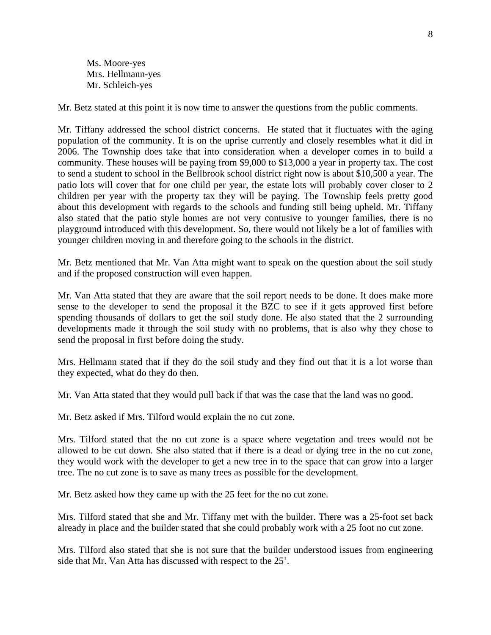Ms. Moore-yes Mrs. Hellmann-yes Mr. Schleich-yes

Mr. Betz stated at this point it is now time to answer the questions from the public comments.

Mr. Tiffany addressed the school district concerns. He stated that it fluctuates with the aging population of the community. It is on the uprise currently and closely resembles what it did in 2006. The Township does take that into consideration when a developer comes in to build a community. These houses will be paying from \$9,000 to \$13,000 a year in property tax. The cost to send a student to school in the Bellbrook school district right now is about \$10,500 a year. The patio lots will cover that for one child per year, the estate lots will probably cover closer to 2 children per year with the property tax they will be paying. The Township feels pretty good about this development with regards to the schools and funding still being upheld. Mr. Tiffany also stated that the patio style homes are not very contusive to younger families, there is no playground introduced with this development. So, there would not likely be a lot of families with younger children moving in and therefore going to the schools in the district.

Mr. Betz mentioned that Mr. Van Atta might want to speak on the question about the soil study and if the proposed construction will even happen.

Mr. Van Atta stated that they are aware that the soil report needs to be done. It does make more sense to the developer to send the proposal it the BZC to see if it gets approved first before spending thousands of dollars to get the soil study done. He also stated that the 2 surrounding developments made it through the soil study with no problems, that is also why they chose to send the proposal in first before doing the study.

Mrs. Hellmann stated that if they do the soil study and they find out that it is a lot worse than they expected, what do they do then.

Mr. Van Atta stated that they would pull back if that was the case that the land was no good.

Mr. Betz asked if Mrs. Tilford would explain the no cut zone.

Mrs. Tilford stated that the no cut zone is a space where vegetation and trees would not be allowed to be cut down. She also stated that if there is a dead or dying tree in the no cut zone, they would work with the developer to get a new tree in to the space that can grow into a larger tree. The no cut zone is to save as many trees as possible for the development.

Mr. Betz asked how they came up with the 25 feet for the no cut zone.

Mrs. Tilford stated that she and Mr. Tiffany met with the builder. There was a 25-foot set back already in place and the builder stated that she could probably work with a 25 foot no cut zone.

Mrs. Tilford also stated that she is not sure that the builder understood issues from engineering side that Mr. Van Atta has discussed with respect to the 25'.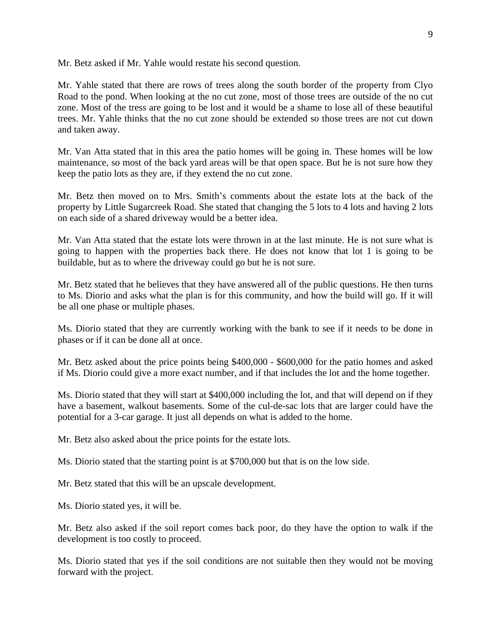Mr. Betz asked if Mr. Yahle would restate his second question.

Mr. Yahle stated that there are rows of trees along the south border of the property from Clyo Road to the pond. When looking at the no cut zone, most of those trees are outside of the no cut zone. Most of the tress are going to be lost and it would be a shame to lose all of these beautiful trees. Mr. Yahle thinks that the no cut zone should be extended so those trees are not cut down and taken away.

Mr. Van Atta stated that in this area the patio homes will be going in. These homes will be low maintenance, so most of the back yard areas will be that open space. But he is not sure how they keep the patio lots as they are, if they extend the no cut zone.

Mr. Betz then moved on to Mrs. Smith's comments about the estate lots at the back of the property by Little Sugarcreek Road. She stated that changing the 5 lots to 4 lots and having 2 lots on each side of a shared driveway would be a better idea.

Mr. Van Atta stated that the estate lots were thrown in at the last minute. He is not sure what is going to happen with the properties back there. He does not know that lot 1 is going to be buildable, but as to where the driveway could go but he is not sure.

Mr. Betz stated that he believes that they have answered all of the public questions. He then turns to Ms. Diorio and asks what the plan is for this community, and how the build will go. If it will be all one phase or multiple phases.

Ms. Diorio stated that they are currently working with the bank to see if it needs to be done in phases or if it can be done all at once.

Mr. Betz asked about the price points being \$400,000 - \$600,000 for the patio homes and asked if Ms. Diorio could give a more exact number, and if that includes the lot and the home together.

Ms. Diorio stated that they will start at \$400,000 including the lot, and that will depend on if they have a basement, walkout basements. Some of the cul-de-sac lots that are larger could have the potential for a 3-car garage. It just all depends on what is added to the home.

Mr. Betz also asked about the price points for the estate lots.

Ms. Diorio stated that the starting point is at \$700,000 but that is on the low side.

Mr. Betz stated that this will be an upscale development.

Ms. Diorio stated yes, it will be.

Mr. Betz also asked if the soil report comes back poor, do they have the option to walk if the development is too costly to proceed.

Ms. Diorio stated that yes if the soil conditions are not suitable then they would not be moving forward with the project.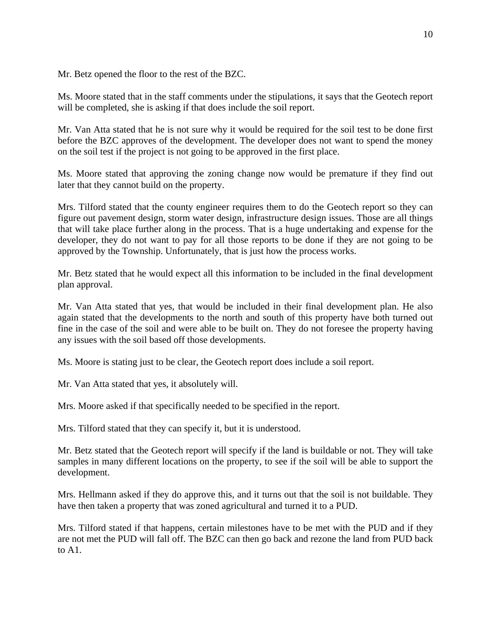Mr. Betz opened the floor to the rest of the BZC.

Ms. Moore stated that in the staff comments under the stipulations, it says that the Geotech report will be completed, she is asking if that does include the soil report.

Mr. Van Atta stated that he is not sure why it would be required for the soil test to be done first before the BZC approves of the development. The developer does not want to spend the money on the soil test if the project is not going to be approved in the first place.

Ms. Moore stated that approving the zoning change now would be premature if they find out later that they cannot build on the property.

Mrs. Tilford stated that the county engineer requires them to do the Geotech report so they can figure out pavement design, storm water design, infrastructure design issues. Those are all things that will take place further along in the process. That is a huge undertaking and expense for the developer, they do not want to pay for all those reports to be done if they are not going to be approved by the Township. Unfortunately, that is just how the process works.

Mr. Betz stated that he would expect all this information to be included in the final development plan approval.

Mr. Van Atta stated that yes, that would be included in their final development plan. He also again stated that the developments to the north and south of this property have both turned out fine in the case of the soil and were able to be built on. They do not foresee the property having any issues with the soil based off those developments.

Ms. Moore is stating just to be clear, the Geotech report does include a soil report.

Mr. Van Atta stated that yes, it absolutely will.

Mrs. Moore asked if that specifically needed to be specified in the report.

Mrs. Tilford stated that they can specify it, but it is understood.

Mr. Betz stated that the Geotech report will specify if the land is buildable or not. They will take samples in many different locations on the property, to see if the soil will be able to support the development.

Mrs. Hellmann asked if they do approve this, and it turns out that the soil is not buildable. They have then taken a property that was zoned agricultural and turned it to a PUD.

Mrs. Tilford stated if that happens, certain milestones have to be met with the PUD and if they are not met the PUD will fall off. The BZC can then go back and rezone the land from PUD back to A1.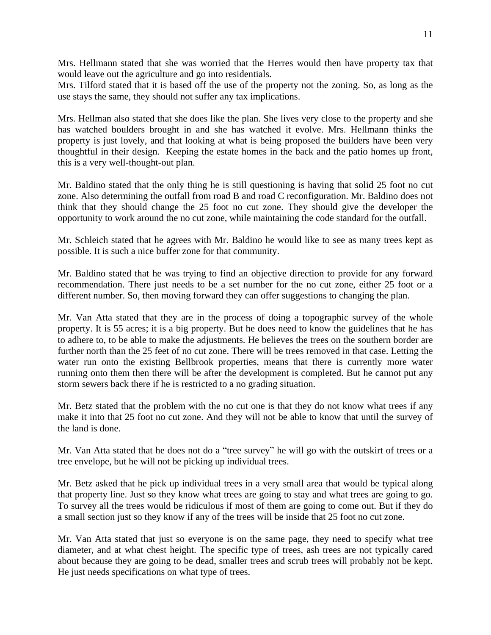Mrs. Hellmann stated that she was worried that the Herres would then have property tax that would leave out the agriculture and go into residentials.

Mrs. Tilford stated that it is based off the use of the property not the zoning. So, as long as the use stays the same, they should not suffer any tax implications.

Mrs. Hellman also stated that she does like the plan. She lives very close to the property and she has watched boulders brought in and she has watched it evolve. Mrs. Hellmann thinks the property is just lovely, and that looking at what is being proposed the builders have been very thoughtful in their design. Keeping the estate homes in the back and the patio homes up front, this is a very well-thought-out plan.

Mr. Baldino stated that the only thing he is still questioning is having that solid 25 foot no cut zone. Also determining the outfall from road B and road C reconfiguration. Mr. Baldino does not think that they should change the 25 foot no cut zone. They should give the developer the opportunity to work around the no cut zone, while maintaining the code standard for the outfall.

Mr. Schleich stated that he agrees with Mr. Baldino he would like to see as many trees kept as possible. It is such a nice buffer zone for that community.

Mr. Baldino stated that he was trying to find an objective direction to provide for any forward recommendation. There just needs to be a set number for the no cut zone, either 25 foot or a different number. So, then moving forward they can offer suggestions to changing the plan.

Mr. Van Atta stated that they are in the process of doing a topographic survey of the whole property. It is 55 acres; it is a big property. But he does need to know the guidelines that he has to adhere to, to be able to make the adjustments. He believes the trees on the southern border are further north than the 25 feet of no cut zone. There will be trees removed in that case. Letting the water run onto the existing Bellbrook properties, means that there is currently more water running onto them then there will be after the development is completed. But he cannot put any storm sewers back there if he is restricted to a no grading situation.

Mr. Betz stated that the problem with the no cut one is that they do not know what trees if any make it into that 25 foot no cut zone. And they will not be able to know that until the survey of the land is done.

Mr. Van Atta stated that he does not do a "tree survey" he will go with the outskirt of trees or a tree envelope, but he will not be picking up individual trees.

Mr. Betz asked that he pick up individual trees in a very small area that would be typical along that property line. Just so they know what trees are going to stay and what trees are going to go. To survey all the trees would be ridiculous if most of them are going to come out. But if they do a small section just so they know if any of the trees will be inside that 25 foot no cut zone.

Mr. Van Atta stated that just so everyone is on the same page, they need to specify what tree diameter, and at what chest height. The specific type of trees, ash trees are not typically cared about because they are going to be dead, smaller trees and scrub trees will probably not be kept. He just needs specifications on what type of trees.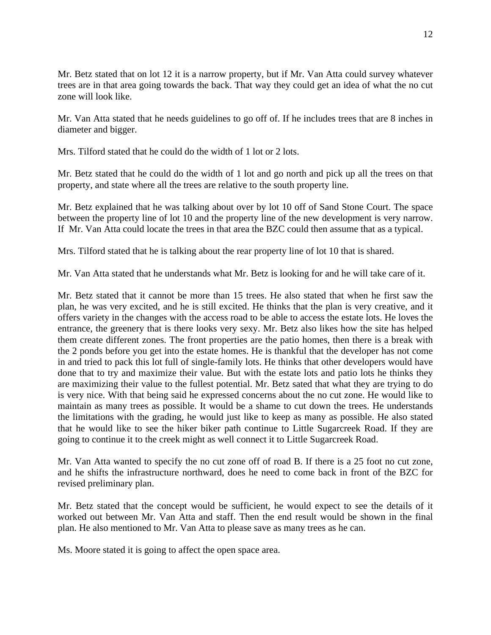Mr. Betz stated that on lot 12 it is a narrow property, but if Mr. Van Atta could survey whatever trees are in that area going towards the back. That way they could get an idea of what the no cut zone will look like.

Mr. Van Atta stated that he needs guidelines to go off of. If he includes trees that are 8 inches in diameter and bigger.

Mrs. Tilford stated that he could do the width of 1 lot or 2 lots.

Mr. Betz stated that he could do the width of 1 lot and go north and pick up all the trees on that property, and state where all the trees are relative to the south property line.

Mr. Betz explained that he was talking about over by lot 10 off of Sand Stone Court. The space between the property line of lot 10 and the property line of the new development is very narrow. If Mr. Van Atta could locate the trees in that area the BZC could then assume that as a typical.

Mrs. Tilford stated that he is talking about the rear property line of lot 10 that is shared.

Mr. Van Atta stated that he understands what Mr. Betz is looking for and he will take care of it.

Mr. Betz stated that it cannot be more than 15 trees. He also stated that when he first saw the plan, he was very excited, and he is still excited. He thinks that the plan is very creative, and it offers variety in the changes with the access road to be able to access the estate lots. He loves the entrance, the greenery that is there looks very sexy. Mr. Betz also likes how the site has helped them create different zones. The front properties are the patio homes, then there is a break with the 2 ponds before you get into the estate homes. He is thankful that the developer has not come in and tried to pack this lot full of single-family lots. He thinks that other developers would have done that to try and maximize their value. But with the estate lots and patio lots he thinks they are maximizing their value to the fullest potential. Mr. Betz sated that what they are trying to do is very nice. With that being said he expressed concerns about the no cut zone. He would like to maintain as many trees as possible. It would be a shame to cut down the trees. He understands the limitations with the grading, he would just like to keep as many as possible. He also stated that he would like to see the hiker biker path continue to Little Sugarcreek Road. If they are going to continue it to the creek might as well connect it to Little Sugarcreek Road.

Mr. Van Atta wanted to specify the no cut zone off of road B. If there is a 25 foot no cut zone, and he shifts the infrastructure northward, does he need to come back in front of the BZC for revised preliminary plan.

Mr. Betz stated that the concept would be sufficient, he would expect to see the details of it worked out between Mr. Van Atta and staff. Then the end result would be shown in the final plan. He also mentioned to Mr. Van Atta to please save as many trees as he can.

Ms. Moore stated it is going to affect the open space area.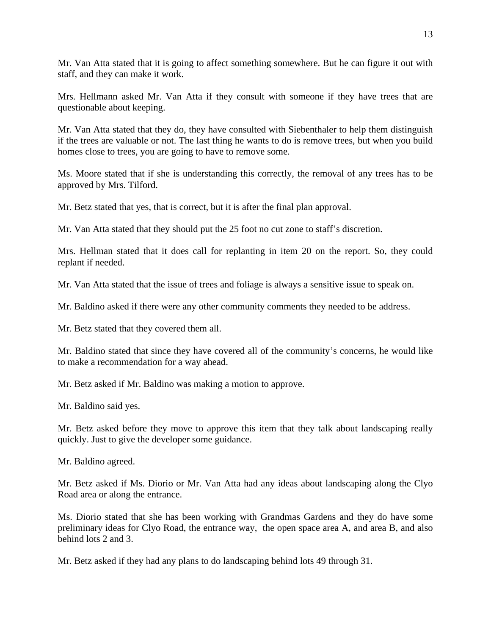Mr. Van Atta stated that it is going to affect something somewhere. But he can figure it out with staff, and they can make it work.

Mrs. Hellmann asked Mr. Van Atta if they consult with someone if they have trees that are questionable about keeping.

Mr. Van Atta stated that they do, they have consulted with Siebenthaler to help them distinguish if the trees are valuable or not. The last thing he wants to do is remove trees, but when you build homes close to trees, you are going to have to remove some.

Ms. Moore stated that if she is understanding this correctly, the removal of any trees has to be approved by Mrs. Tilford.

Mr. Betz stated that yes, that is correct, but it is after the final plan approval.

Mr. Van Atta stated that they should put the 25 foot no cut zone to staff's discretion.

Mrs. Hellman stated that it does call for replanting in item 20 on the report. So, they could replant if needed.

Mr. Van Atta stated that the issue of trees and foliage is always a sensitive issue to speak on.

Mr. Baldino asked if there were any other community comments they needed to be address.

Mr. Betz stated that they covered them all.

Mr. Baldino stated that since they have covered all of the community's concerns, he would like to make a recommendation for a way ahead.

Mr. Betz asked if Mr. Baldino was making a motion to approve.

Mr. Baldino said yes.

Mr. Betz asked before they move to approve this item that they talk about landscaping really quickly. Just to give the developer some guidance.

Mr. Baldino agreed.

Mr. Betz asked if Ms. Diorio or Mr. Van Atta had any ideas about landscaping along the Clyo Road area or along the entrance.

Ms. Diorio stated that she has been working with Grandmas Gardens and they do have some preliminary ideas for Clyo Road, the entrance way, the open space area A, and area B, and also behind lots 2 and 3.

Mr. Betz asked if they had any plans to do landscaping behind lots 49 through 31.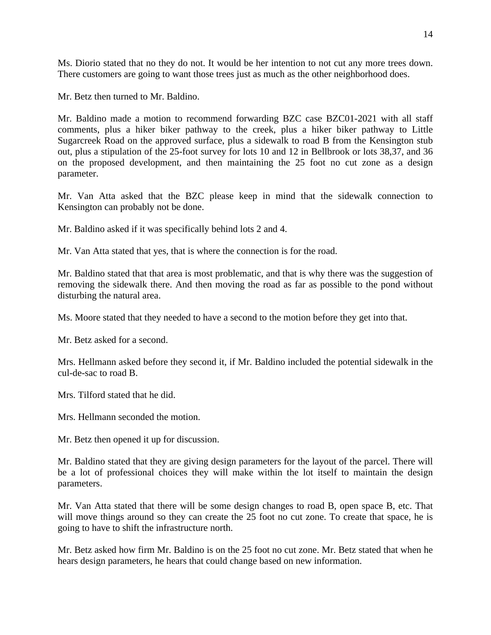Ms. Diorio stated that no they do not. It would be her intention to not cut any more trees down. There customers are going to want those trees just as much as the other neighborhood does.

Mr. Betz then turned to Mr. Baldino.

Mr. Baldino made a motion to recommend forwarding BZC case BZC01-2021 with all staff comments, plus a hiker biker pathway to the creek, plus a hiker biker pathway to Little Sugarcreek Road on the approved surface, plus a sidewalk to road B from the Kensington stub out, plus a stipulation of the 25-foot survey for lots 10 and 12 in Bellbrook or lots 38,37, and 36 on the proposed development, and then maintaining the 25 foot no cut zone as a design parameter.

Mr. Van Atta asked that the BZC please keep in mind that the sidewalk connection to Kensington can probably not be done.

Mr. Baldino asked if it was specifically behind lots 2 and 4.

Mr. Van Atta stated that yes, that is where the connection is for the road.

Mr. Baldino stated that that area is most problematic, and that is why there was the suggestion of removing the sidewalk there. And then moving the road as far as possible to the pond without disturbing the natural area.

Ms. Moore stated that they needed to have a second to the motion before they get into that.

Mr. Betz asked for a second.

Mrs. Hellmann asked before they second it, if Mr. Baldino included the potential sidewalk in the cul-de-sac to road B.

Mrs. Tilford stated that he did.

Mrs. Hellmann seconded the motion.

Mr. Betz then opened it up for discussion.

Mr. Baldino stated that they are giving design parameters for the layout of the parcel. There will be a lot of professional choices they will make within the lot itself to maintain the design parameters.

Mr. Van Atta stated that there will be some design changes to road B, open space B, etc. That will move things around so they can create the 25 foot no cut zone. To create that space, he is going to have to shift the infrastructure north.

Mr. Betz asked how firm Mr. Baldino is on the 25 foot no cut zone. Mr. Betz stated that when he hears design parameters, he hears that could change based on new information.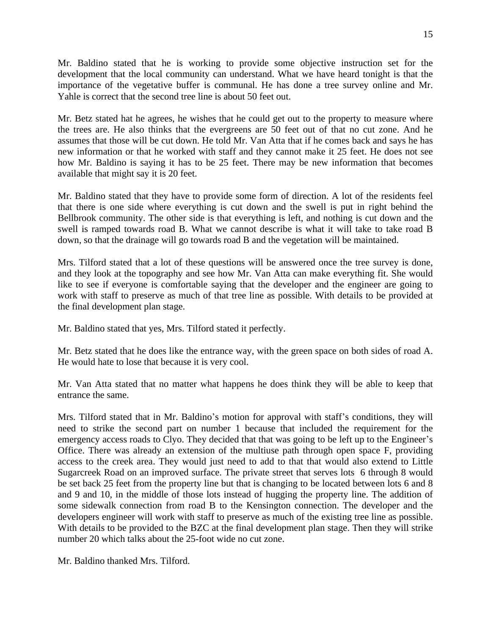Mr. Baldino stated that he is working to provide some objective instruction set for the development that the local community can understand. What we have heard tonight is that the importance of the vegetative buffer is communal. He has done a tree survey online and Mr. Yahle is correct that the second tree line is about 50 feet out.

Mr. Betz stated hat he agrees, he wishes that he could get out to the property to measure where the trees are. He also thinks that the evergreens are 50 feet out of that no cut zone. And he assumes that those will be cut down. He told Mr. Van Atta that if he comes back and says he has new information or that he worked with staff and they cannot make it 25 feet. He does not see how Mr. Baldino is saying it has to be 25 feet. There may be new information that becomes available that might say it is 20 feet.

Mr. Baldino stated that they have to provide some form of direction. A lot of the residents feel that there is one side where everything is cut down and the swell is put in right behind the Bellbrook community. The other side is that everything is left, and nothing is cut down and the swell is ramped towards road B. What we cannot describe is what it will take to take road B down, so that the drainage will go towards road B and the vegetation will be maintained.

Mrs. Tilford stated that a lot of these questions will be answered once the tree survey is done, and they look at the topography and see how Mr. Van Atta can make everything fit. She would like to see if everyone is comfortable saying that the developer and the engineer are going to work with staff to preserve as much of that tree line as possible. With details to be provided at the final development plan stage.

Mr. Baldino stated that yes, Mrs. Tilford stated it perfectly.

Mr. Betz stated that he does like the entrance way, with the green space on both sides of road A. He would hate to lose that because it is very cool.

Mr. Van Atta stated that no matter what happens he does think they will be able to keep that entrance the same.

Mrs. Tilford stated that in Mr. Baldino's motion for approval with staff's conditions, they will need to strike the second part on number 1 because that included the requirement for the emergency access roads to Clyo. They decided that that was going to be left up to the Engineer's Office. There was already an extension of the multiuse path through open space F, providing access to the creek area. They would just need to add to that that would also extend to Little Sugarcreek Road on an improved surface. The private street that serves lots 6 through 8 would be set back 25 feet from the property line but that is changing to be located between lots 6 and 8 and 9 and 10, in the middle of those lots instead of hugging the property line. The addition of some sidewalk connection from road B to the Kensington connection. The developer and the developers engineer will work with staff to preserve as much of the existing tree line as possible. With details to be provided to the BZC at the final development plan stage. Then they will strike number 20 which talks about the 25-foot wide no cut zone.

Mr. Baldino thanked Mrs. Tilford.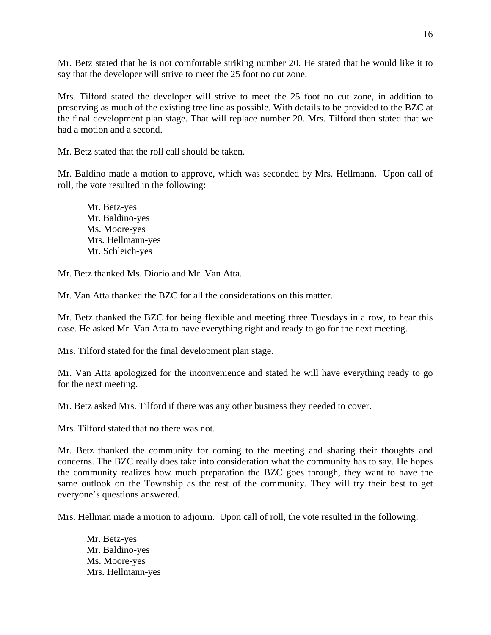Mr. Betz stated that he is not comfortable striking number 20. He stated that he would like it to say that the developer will strive to meet the 25 foot no cut zone.

Mrs. Tilford stated the developer will strive to meet the 25 foot no cut zone, in addition to preserving as much of the existing tree line as possible. With details to be provided to the BZC at the final development plan stage. That will replace number 20. Mrs. Tilford then stated that we had a motion and a second.

Mr. Betz stated that the roll call should be taken.

Mr. Baldino made a motion to approve, which was seconded by Mrs. Hellmann. Upon call of roll, the vote resulted in the following:

Mr. Betz-yes Mr. Baldino-yes Ms. Moore-yes Mrs. Hellmann-yes Mr. Schleich-yes

Mr. Betz thanked Ms. Diorio and Mr. Van Atta.

Mr. Van Atta thanked the BZC for all the considerations on this matter.

Mr. Betz thanked the BZC for being flexible and meeting three Tuesdays in a row, to hear this case. He asked Mr. Van Atta to have everything right and ready to go for the next meeting.

Mrs. Tilford stated for the final development plan stage.

Mr. Van Atta apologized for the inconvenience and stated he will have everything ready to go for the next meeting.

Mr. Betz asked Mrs. Tilford if there was any other business they needed to cover.

Mrs. Tilford stated that no there was not.

Mr. Betz thanked the community for coming to the meeting and sharing their thoughts and concerns. The BZC really does take into consideration what the community has to say. He hopes the community realizes how much preparation the BZC goes through, they want to have the same outlook on the Township as the rest of the community. They will try their best to get everyone's questions answered.

Mrs. Hellman made a motion to adjourn. Upon call of roll, the vote resulted in the following:

Mr. Betz-yes Mr. Baldino-yes Ms. Moore-yes Mrs. Hellmann-yes